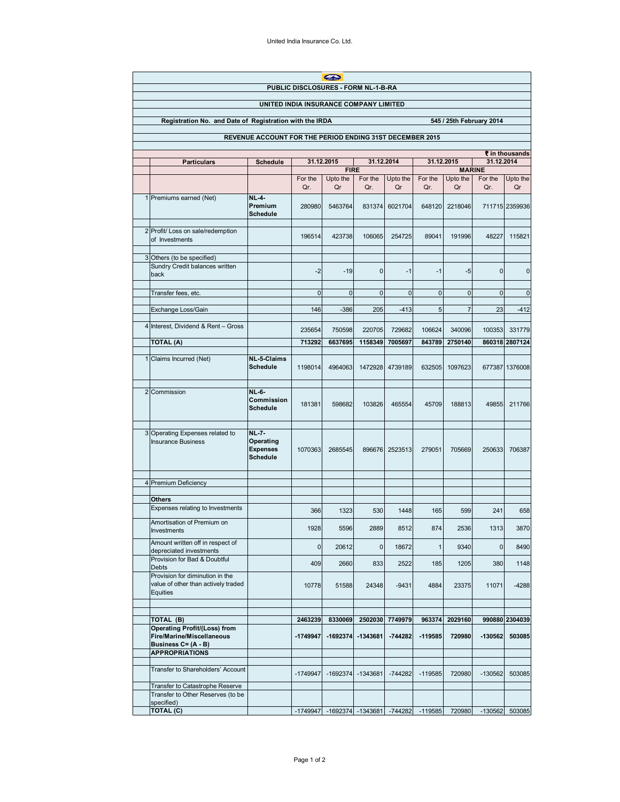|                                                                                     | $\bullet$<br>PUBLIC DISCLOSURES - FORM NL-1-B-RA                                                     |                                                                 |                          |                                                           |                     |                      |                     |                                                             |             |                          |  |  |
|-------------------------------------------------------------------------------------|------------------------------------------------------------------------------------------------------|-----------------------------------------------------------------|--------------------------|-----------------------------------------------------------|---------------------|----------------------|---------------------|-------------------------------------------------------------|-------------|--------------------------|--|--|
| UNITED INDIA INSURANCE COMPANY LIMITED                                              |                                                                                                      |                                                                 |                          |                                                           |                     |                      |                     |                                                             |             |                          |  |  |
| Registration No. and Date of Registration with the IRDA<br>545 / 25th February 2014 |                                                                                                      |                                                                 |                          |                                                           |                     |                      |                     |                                                             |             |                          |  |  |
| REVENUE ACCOUNT FOR THE PERIOD ENDING 31ST DECEMBER 2015                            |                                                                                                      |                                                                 |                          |                                                           |                     |                      |                     |                                                             |             |                          |  |  |
|                                                                                     |                                                                                                      |                                                                 |                          |                                                           |                     |                      |                     |                                                             |             |                          |  |  |
|                                                                                     | <b>Particulars</b>                                                                                   | <b>Schedule</b>                                                 | 31.12.2015<br>31.12.2014 |                                                           |                     |                      |                     | ₹ in thousands<br>31.12.2014<br>31.12.2015                  |             |                          |  |  |
|                                                                                     |                                                                                                      |                                                                 |                          | <b>FIRE</b><br>For the<br>Upto the<br>For the<br>Upto the |                     |                      |                     | <b>MARINE</b><br>For the<br>Upto the<br>For the<br>Upto the |             |                          |  |  |
|                                                                                     |                                                                                                      |                                                                 | Qr.                      | Qr                                                        | Qr.                 | Qr                   | Qr.                 | Qr                                                          | Qr.         | Qr                       |  |  |
|                                                                                     | 1 Premiums earned (Net)                                                                              | <b>NL-4-</b><br>Premium<br><b>Schedule</b>                      | 280980                   | 5463764                                                   | 831374              | 6021704              | 648120              | 2218046                                                     |             | 711715 2359936           |  |  |
|                                                                                     | 2 Profit/ Loss on sale/redemption<br>of Investments                                                  |                                                                 | 196514                   | 423738                                                    | 106065              | 254725               | 89041               | 191996                                                      | 48227       | 115821                   |  |  |
|                                                                                     | 3 Others (to be specified)                                                                           |                                                                 |                          |                                                           |                     |                      |                     |                                                             |             |                          |  |  |
|                                                                                     | Sundry Credit balances written<br>back                                                               |                                                                 | $-2$                     | -19                                                       | $\mathbf 0$         | $-1$                 | $-1$                | $-5$                                                        | 0           | 0                        |  |  |
|                                                                                     | Transfer fees, etc.                                                                                  |                                                                 | $\mathbf 0$              | $\mathbf 0$                                               | $\mathbf 0$         | $\mathbf 0$          | $\mathbf 0$         | $\mathbf{0}$                                                | $\mathbf 0$ | $\mathbf 0$              |  |  |
|                                                                                     | Exchange Loss/Gain                                                                                   |                                                                 | 146                      | $-386$                                                    | 205                 | $-413$               | 5                   | $\overline{7}$                                              | 23          | $-412$                   |  |  |
|                                                                                     | 4 Interest, Dividend & Rent - Gross                                                                  |                                                                 | 235654                   | 750598                                                    | 220705              | 729682               | 106624              | 340096                                                      | 100353      | 331779                   |  |  |
|                                                                                     | TOTAL (A)                                                                                            |                                                                 | 713292                   | 6637695                                                   | 1158349             | 7005697              | 843789              | 2750140                                                     |             | 860318 2807124           |  |  |
|                                                                                     | 1 Claims Incurred (Net)                                                                              | <b>NL-5-Claims</b>                                              |                          |                                                           |                     |                      |                     |                                                             |             |                          |  |  |
|                                                                                     |                                                                                                      | <b>Schedule</b>                                                 | 1198014                  | 4964063                                                   | 1472928             | 4739189              | 632505              | 1097623                                                     |             | 677387 1376008           |  |  |
|                                                                                     | 2 Commission                                                                                         | <b>NL-6-</b><br><b>Commission</b><br><b>Schedule</b>            | 181381                   | 598682                                                    | 103826              | 465554               | 45709               | 188813                                                      | 49855       | 211766                   |  |  |
|                                                                                     | 3 Operating Expenses related to<br><b>Insurance Business</b>                                         | <b>NL-7-</b><br>Operating<br><b>Expenses</b><br><b>Schedule</b> | 1070363                  | 2685545                                                   | 896676              | 2523513              | 279051              | 705669                                                      | 250633      | 706387                   |  |  |
|                                                                                     | 4 Premium Deficiency                                                                                 |                                                                 |                          |                                                           |                     |                      |                     |                                                             |             |                          |  |  |
|                                                                                     |                                                                                                      |                                                                 |                          |                                                           |                     |                      |                     |                                                             |             |                          |  |  |
|                                                                                     | <b>Others</b><br>Expenses relating to Investments                                                    |                                                                 | 366                      | 1323                                                      | 530                 | 1448                 | 165                 | 599                                                         | 241         | 658                      |  |  |
|                                                                                     | Amortisation of Premium on<br>Investments                                                            |                                                                 | 1928                     | 5596                                                      | 2889                | 8512                 | 874                 | 2536                                                        | 1313        | 3870                     |  |  |
|                                                                                     | Amount written off in respect of<br>depreciated investments                                          |                                                                 | 0                        | 20612                                                     | 0                   | 18672                | 1                   | 9340                                                        | 0           | 8490                     |  |  |
|                                                                                     | Provision for Bad & Doubtful<br>Debts                                                                |                                                                 | 409                      | 2660                                                      | 833                 | 2522                 | 185                 | 1205                                                        | 380         | 1148                     |  |  |
|                                                                                     | Provision for diminution in the<br>value of other than actively traded<br>Equities                   |                                                                 | 10778                    | 51588                                                     | 24348               | $-9431$              | 4884                | 23375                                                       | 11071       | $-4288$                  |  |  |
|                                                                                     |                                                                                                      |                                                                 |                          |                                                           |                     |                      |                     |                                                             |             |                          |  |  |
|                                                                                     | TOTAL (B)<br><b>Operating Profit/(Loss) from</b><br>Fire/Marine/Miscellaneous<br>Business C= (A - B) |                                                                 | 2463239<br>-1749947      | 8330069<br>-1692374                                       | 2502030<br>-1343681 | 7749979<br>$-744282$ | 963374<br>$-119585$ | 2029160<br>720980                                           | -130562     | 990880 2304039<br>503085 |  |  |
|                                                                                     | <b>APPROPRIATIONS</b>                                                                                |                                                                 |                          |                                                           |                     |                      |                     |                                                             |             |                          |  |  |
|                                                                                     | Transfer to Shareholders' Account                                                                    |                                                                 | -1749947                 | $-1692374$                                                | -1343681            | $-744282$            | $-119585$           | 720980                                                      | $-130562$   | 503085                   |  |  |
|                                                                                     | Transfer to Catastrophe Reserve<br>Transfer to Other Reserves (to be                                 |                                                                 |                          |                                                           |                     |                      |                     |                                                             |             |                          |  |  |
|                                                                                     | specified)<br>TOTAL (C)                                                                              |                                                                 | -1749947                 | $-1692374$                                                | $-1343681$          | $-744282$            | $-119585$           | 720980                                                      | $-130562$   | 503085                   |  |  |